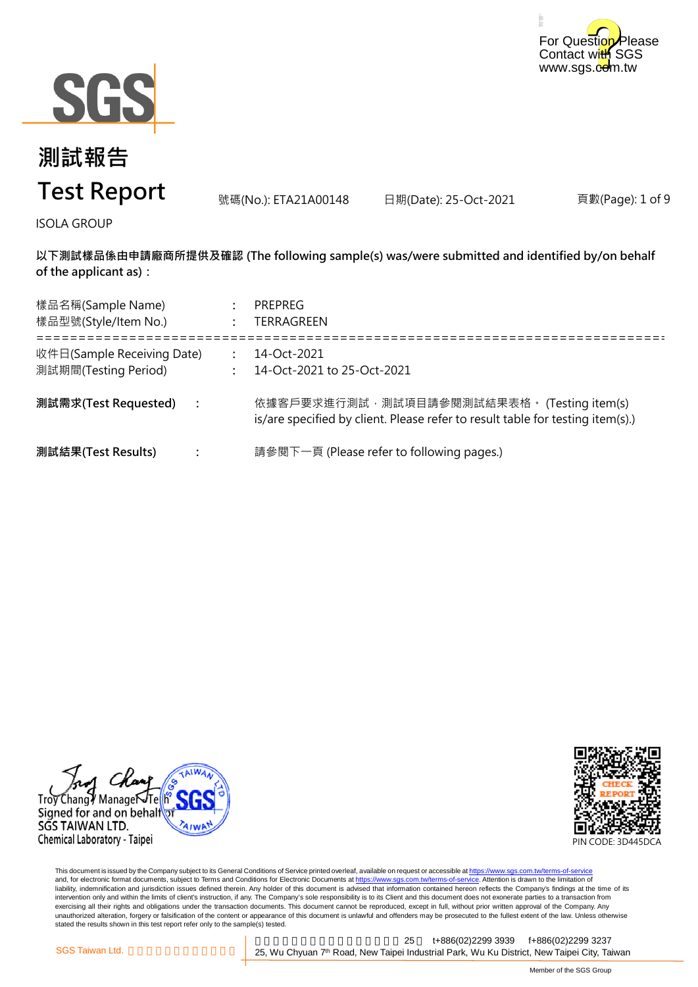



號碼(No.): ETA21A00148 日期(Date): 25-Oct-2021

頁數(Page): 1 of 9

ISOLA GROUP

**以下測試樣品係由申請廠商所提供及確認 (The following sample(s) was/were submitted and identified by/on behalf of the applicant as):**

| 樣品名稱(Sample Name)<br>樣品型號(Style/Item No.)          | <b>PREPREG</b><br>TERRAGREEN                                                                                                  |
|----------------------------------------------------|-------------------------------------------------------------------------------------------------------------------------------|
| 收件日(Sample Receiving Date)<br>測試期間(Testing Period) | 14-Oct-2021<br>14-Oct-2021 to 25-Oct-2021                                                                                     |
| 測試需求(Test Requested)                               | 依據客戶要求進行測試, 測試項目請參閱測試結果表格。 (Testing item(s)<br>is/are specified by client. Please refer to result table for testing item(s).) |
| 測試結果(Test Results)                                 | 請參閱下一頁 (Please refer to following pages.)                                                                                     |

Trov Chang / Managei Signed for and on behalf SGS TAIWAN LTD. Chemical Laboratory - Taipei



This document is issued by the Company subject to its General Conditions of Service printed overleaf, available on request or accessible at <u>https://www.sgs.com.tw/terms-of-service</u><br>and, for electronic format documents, su liability, indemnification and jurisdiction issues defined therein. Any holder of this document is advised that information contained hereon reflects the Company's findings at the time of its intervention only and within the limits of client's instruction, if any. The Company's sole responsibility is to its Client and this document does not exonerate parties to a transaction from exercising all their rights and obligations under the transaction documents. This document cannot be reproduced, except in full, without prior written approval of the Company. Any<br>unauthorized alteration, forgery or falsif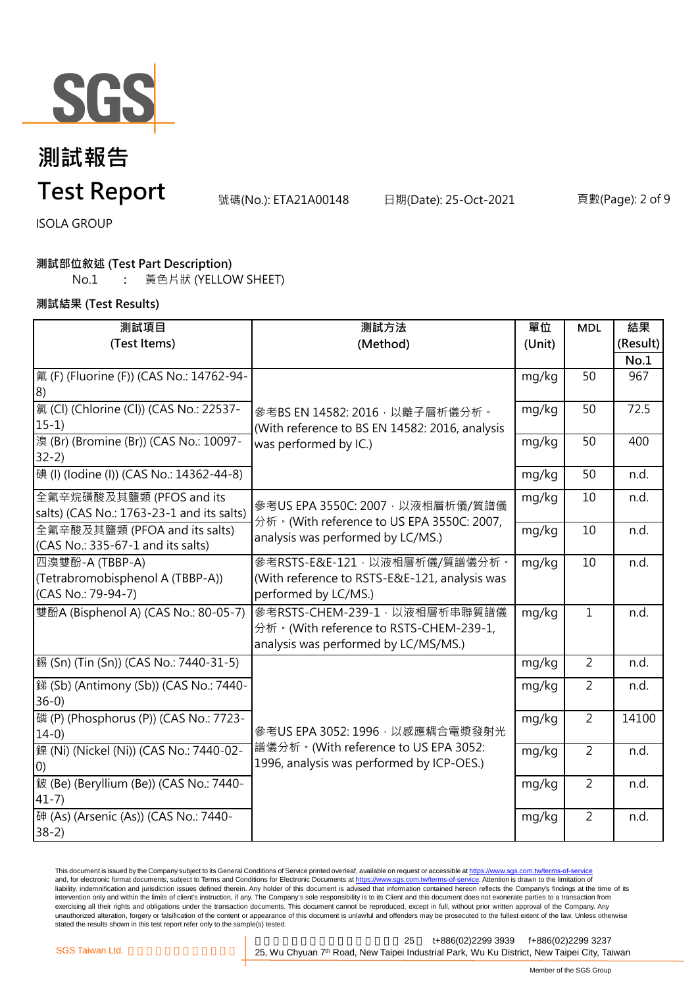

# **測試報告**

### **Test Report**

號碼(No.): ETA21A00148 日期(Date): 25-Oct-2021 頁數(Page): 2 of 9

ISOLA GROUP

### **測試部位敘述 (Test Part Description)**

No.1 **:** 黃色片狀 (YELLOW SHEET)

**測試結果 (Test Results)**

| 測試項目                                                                      | 測試方法                                                                                                                 | 單位     | <b>MDL</b>      | 結果       |
|---------------------------------------------------------------------------|----------------------------------------------------------------------------------------------------------------------|--------|-----------------|----------|
| (Test Items)                                                              | (Method)                                                                                                             | (Unit) |                 | (Result) |
|                                                                           |                                                                                                                      |        |                 | No.1     |
| 氟 (F) (Fluorine (F)) (CAS No.: 14762-94-<br>8)                            |                                                                                                                      | mg/kg  | 50              | 967      |
| [氯 (Cl) (Chlorine (Cl)) (CAS No.: 22537-<br>$15-1)$                       | 參考BS EN 14582: 2016, 以離子層析儀分析。<br>(With reference to BS EN 14582: 2016, analysis<br>was performed by IC.)            | mg/kg  | 50              | 72.5     |
| 溴 (Br) (Bromine (Br)) (CAS No.: 10097-<br>$32-2)$                         |                                                                                                                      | mg/kg  | $\overline{50}$ | 400      |
| [碘 (I) (lodine (I)) (CAS No.: 14362-44-8)                                 |                                                                                                                      | mg/kg  | 50              | n.d.     |
| 全氟辛烷磺酸及其鹽類 (PFOS and its<br>salts) (CAS No.: 1763-23-1 and its salts)     | 參考US EPA 3550C: 2007, 以液相層析儀/質譜儀<br>分析 · (With reference to US EPA 3550C: 2007,<br>analysis was performed by LC/MS.) | mg/kg  | 10              | n.d.     |
| 全氟辛酸及其鹽類 (PFOA and its salts)<br>(CAS No.: 335-67-1 and its salts)        |                                                                                                                      | mg/kg  | 10              | n.d.     |
| 四溴雙酚-A (TBBP-A)<br>(Tetrabromobisphenol A (TBBP-A))<br>(CAS No.: 79-94-7) | 參考RSTS-E&E-121, 以液相層析儀/質譜儀分析。<br>(With reference to RSTS-E&E-121, analysis was<br>performed by LC/MS.)               | mg/kg  | 10              | n.d.     |
| 雙酚A (Bisphenol A) (CAS No.: 80-05-7)                                      | 參考RSTS-CHEM-239-1, 以液相層析串聯質譜儀<br>分析。(With reference to RSTS-CHEM-239-1,<br>analysis was performed by LC/MS/MS.)      | mg/kg  | $\overline{1}$  | n.d.     |
| 錫 (Sn) (Tin (Sn)) (CAS No.: 7440-31-5)                                    |                                                                                                                      | mg/kg  | $\overline{2}$  | n.d.     |
| - 銻 (Sb) (Antimony (Sb)) (CAS No.: 7440-<br>$36-0$                        |                                                                                                                      | mg/kg  | $\overline{2}$  | n.d.     |
| 磷 (P) (Phosphorus (P)) (CAS No.: 7723-<br>$14-0$                          | 參考US EPA 3052: 1996, 以感應耦合電漿發射光<br>譜儀分析。(With reference to US EPA 3052:<br>1996, analysis was performed by ICP-OES.) | mg/kg  | $\overline{2}$  | 14100    |
| 鎳 (Ni) (Nickel (Ni)) (CAS No.: 7440-02-<br>(0)                            |                                                                                                                      | mg/kg  | $\overline{2}$  | n.d.     |
| 鈹 (Be) (Beryllium (Be)) (CAS No.: 7440-<br>$41 - 7$                       |                                                                                                                      | mg/kg  | $\overline{2}$  | n.d.     |
| 砷 (As) (Arsenic (As)) (CAS No.: 7440-<br>$38-2)$                          |                                                                                                                      | mg/kg  | $\overline{2}$  | n.d.     |

This document is issued by the Company subject to its General Conditions of Service printed overleaf, available on request or accessible at <u>https://www.sgs.com.tw/terms-of-service</u><br>and, for electronic format documents, su liability, indemnification and jurisdiction issues defined therein. Any holder of this document is advised that information contained hereon reflects the Company's findings at the time of its liability, indemnification and intervention only and within the limits of client's instruction, if any. The Company's sole responsibility is to its Client and this document does not exonerate parties to a transaction from exercising all their rights and obligations under the transaction documents. This document cannot be reproduced, except in full, without prior written approval of the Company. Any<br>unauthorized alteration, forgery or falsif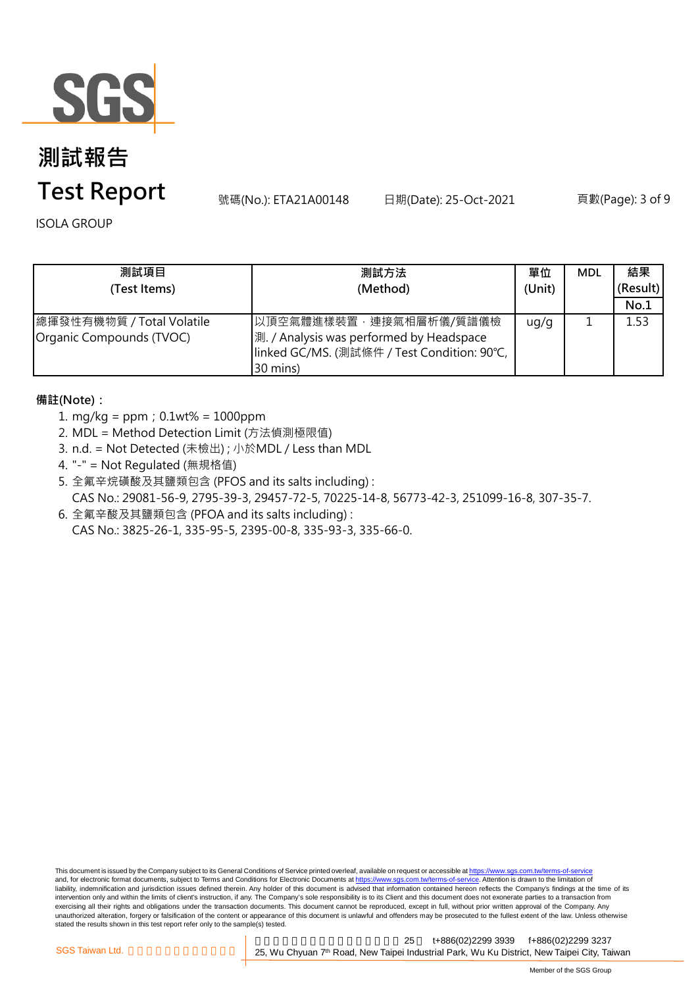

# **測試報告**

### **Test Report**

號碼(No.): ETA21A00148 日期(Date): 25-Oct-2021 頁數(Page): 3 of 9

ISOLA GROUP

| 測試項目<br>(Test Items)                                  | 測試方法<br>(Method)                                                                                                              | 單位<br>(Unit) | <b>MDL</b> | 結果<br>(Result)<br>No.1 |
|-------------------------------------------------------|-------------------------------------------------------------------------------------------------------------------------------|--------------|------------|------------------------|
| 總揮發性有機物質 / Total Volatile<br>Organic Compounds (TVOC) | 以頂空氣體進樣裝置,連接氣相層析儀/質譜儀檢<br>測. / Analysis was performed by Headspace<br> linked GC/MS. (測試條件 / Test Condition: 90℃,<br>30 mins) | ug/g         |            | 1.53                   |

### **備註(Note):**

- 1. mg/kg = ppm;0.1wt% = 1000ppm
- 2. MDL = Method Detection Limit (方法偵測極限值)
- 3. n.d. = Not Detected (未檢出) ; 小於MDL / Less than MDL
- 4. "-" = Not Regulated (無規格值)
- 5. 全氟辛烷磺酸及其鹽類包含 (PFOS and its salts including) : CAS No.: 29081-56-9, 2795-39-3, 29457-72-5, 70225-14-8, 56773-42-3, 251099-16-8, 307-35-7.
- 6. 全氟辛酸及其鹽類包含 (PFOA and its salts including) : CAS No.: 3825-26-1, 335-95-5, 2395-00-8, 335-93-3, 335-66-0.

This document is issued by the Company subject to its General Conditions of Service printed overleaf, available on request or accessible at https://www.sgs.com.tw/terms-of-service and, for electronic format documents, subject to Terms and Conditions for Electronic Documents at https://www.sgs.com.tw/terms-of-service. Attention is drawn to the limitation of liability, indemnification and jurisdiction issues defined therein. Any holder of this document is advised that information contained hereon reflects the Company's findings at the time of its intervention only and within the limits of client's instruction, if any. The Company's sole responsibility is to its Client and this document does not exonerate parties to a transaction from exercising all their rights and obligations under the transaction documents. This document cannot be reproduced, except in full, without prior written approval of the Company. Any<br>unauthorized alteration, forgery or falsif stated the results shown in this test report refer only to the sample(s) tested.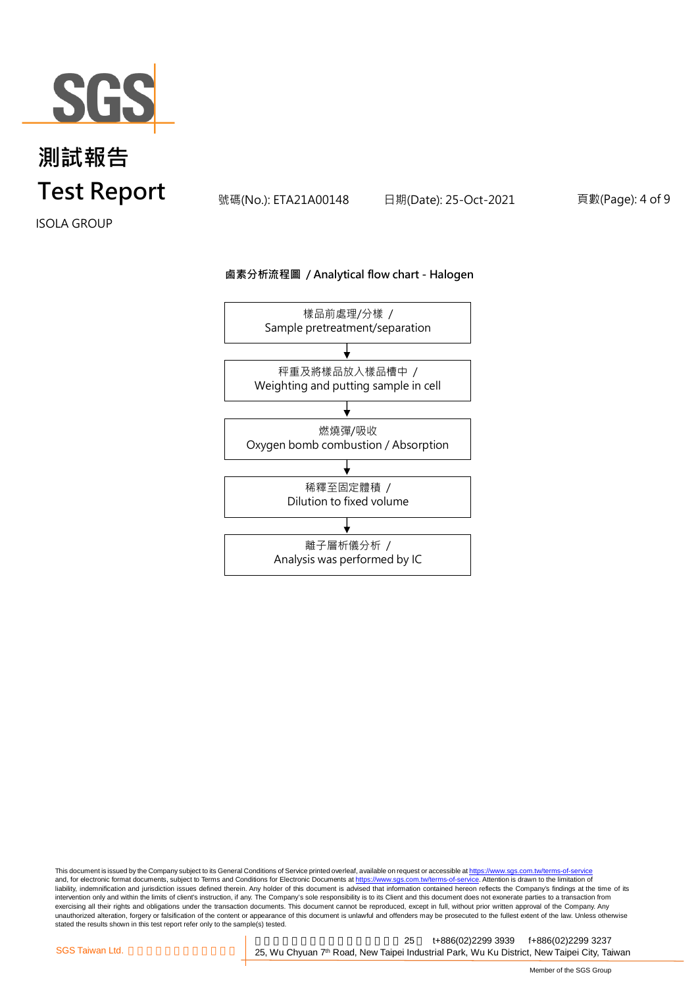

號碼(No.): ETA21A00148 日期(Date): 25-Oct-2021 頁數(Page): 4 of 9

ISOLA GROUP

#### **鹵素分析流程圖 / Analytical flow chart - Halogen**



This document is issued by the Company subject to its General Conditions of Service printed overleaf, available on request or accessible at <u>https://www.sgs.com.tw/terms-of-service</u><br>and, for electronic format documents, su liability, indemnification and jurisdiction issues defined therein. Any holder of this document is advised that information contained hereon reflects the Company's findings at the time of its intervention only and within the limits of client's instruction, if any. The Company's sole responsibility is to its Client and this document does not exonerate parties to a transaction from exercising all their rights and obligations under the transaction documents. This document cannot be reproduced, except in full, without prior written approval of the Company. Any<br>unauthorized alteration, forgery or falsif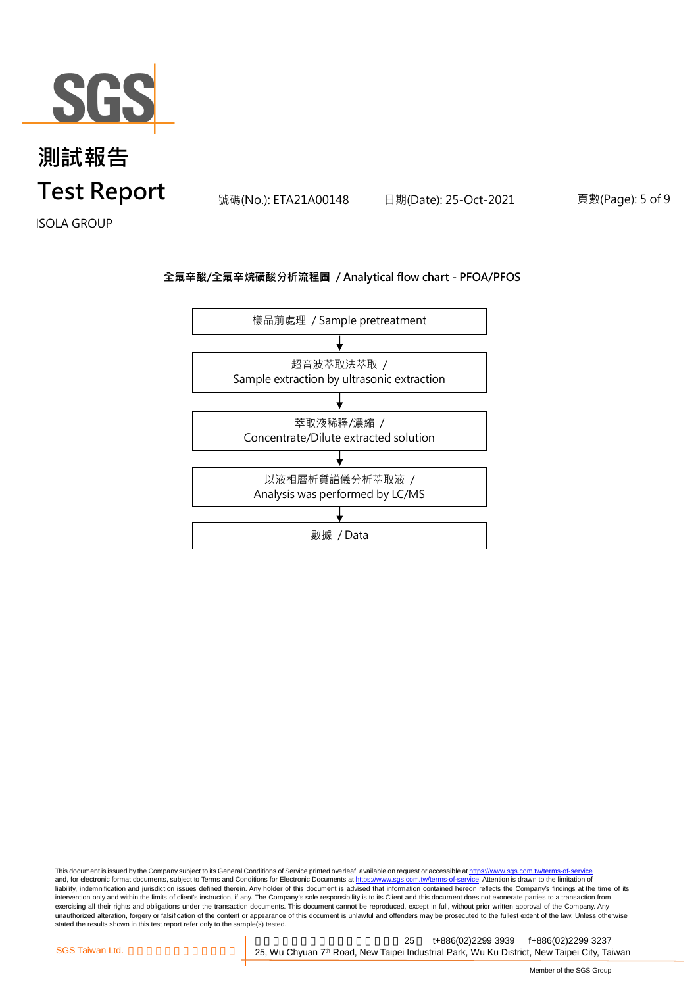

號碼(No.): ETA21A00148 日期(Date): 25-Oct-2021 頁數(Page): 5 of 9

ISOLA GROUP

### **全氟辛酸/全氟辛烷磺酸分析流程圖 / Analytical flow chart - PFOA/PFOS**



This document is issued by the Company subject to its General Conditions of Service printed overleaf, available on request or accessible at <u>https://www.sgs.com.tw/terms-of-service</u><br>and, for electronic format documents, su liability, indemnification and jurisdiction issues defined therein. Any holder of this document is advised that information contained hereon reflects the Company's findings at the time of its intervention only and within the limits of client's instruction, if any. The Company's sole responsibility is to its Client and this document does not exonerate parties to a transaction from exercising all their rights and obligations under the transaction documents. This document cannot be reproduced, except in full, without prior written approval of the Company. Any<br>unauthorized alteration, forgery or falsif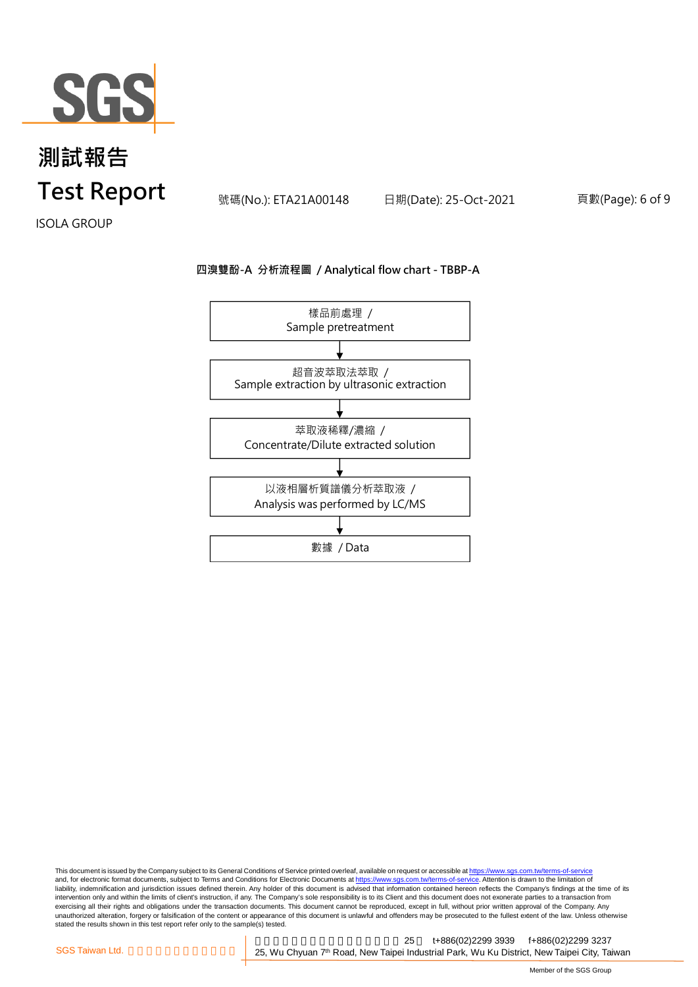

號碼(No.): ETA21A00148 日期(Date): 25-Oct-2021 頁數(Page): 6 of 9

ISOLA GROUP

#### **四溴雙酚-A 分析流程圖 / Analytical flow chart - TBBP-A**



This document is issued by the Company subject to its General Conditions of Service printed overleaf, available on request or accessible at <u>https://www.sgs.com.tw/terms-of-service</u><br>and, for electronic format documents, su liability, indemnification and jurisdiction issues defined therein. Any holder of this document is advised that information contained hereon reflects the Company's findings at the time of its intervention only and within the limits of client's instruction, if any. The Company's sole responsibility is to its Client and this document does not exonerate parties to a transaction from exercising all their rights and obligations under the transaction documents. This document cannot be reproduced, except in full, without prior written approval of the Company. Any<br>unauthorized alteration, forgery or falsif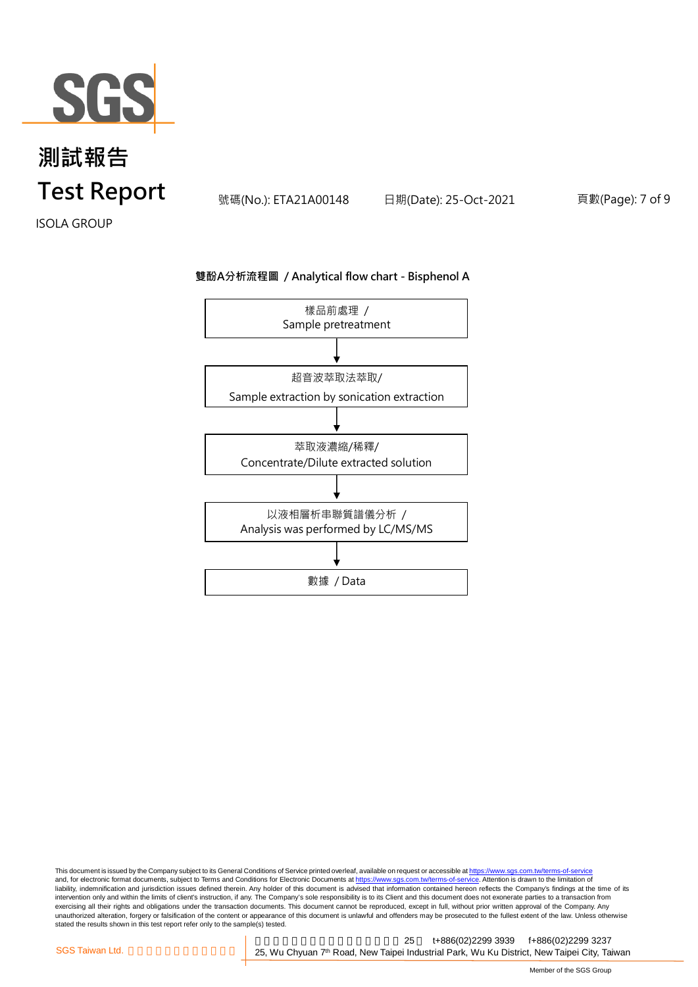

號碼(No.): ETA21A00148 日期(Date): 25-Oct-2021 頁數(Page): 7 of 9

ISOLA GROUP

#### **雙酚A分析流程圖 / Analytical flow chart - Bisphenol A**



This document is issued by the Company subject to its General Conditions of Service printed overleaf, available on request or accessible at <u>https://www.sgs.com.tw/terms-of-service</u><br>and, for electronic format documents, su liability, indemnification and jurisdiction issues defined therein. Any holder of this document is advised that information contained hereon reflects the Company's findings at the time of its intervention only and within the limits of client's instruction, if any. The Company's sole responsibility is to its Client and this document does not exonerate parties to a transaction from exercising all their rights and obligations under the transaction documents. This document cannot be reproduced, except in full, without prior written approval of the Company. Any<br>unauthorized alteration, forgery or falsif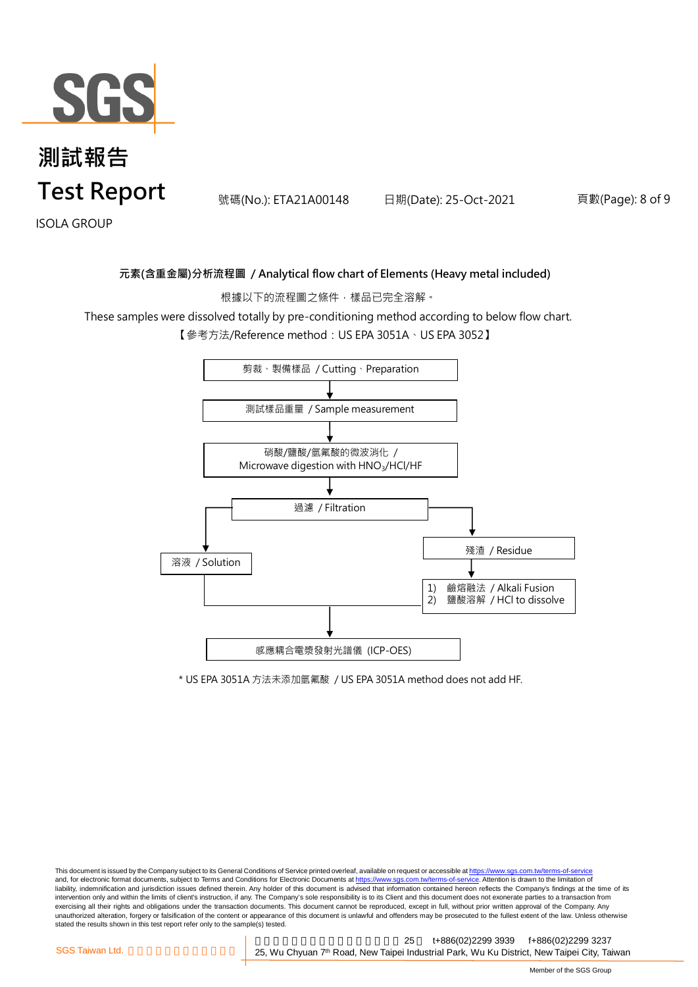

號碼(No.): ETA21A00148 日期(Date): 25-Oct-2021 頁數(Page): 8 of 9

ISOLA GROUP

#### **元素(含重金屬)分析流程圖 / Analytical flow chart of Elements (Heavy metal included)**

根據以下的流程圖之條件,樣品已完全溶解。

These samples were dissolved totally by pre-conditioning method according to below flow chart.

【參考方法/Reference method:US EPA 3051A、US EPA 3052】



\* US EPA 3051A 方法未添加氫氟酸 / US EPA 3051A method does not add HF.

This document is issued by the Company subject to its General Conditions of Service printed overleaf, available on request or accessible at https://www.sgs.com.tw/terms-of-service and, for electronic format documents, subject to Terms and Conditions for Electronic Documents at https://www.sgs.com.tw/terms-of-service. Attention is drawn to the limitation of liability, indemnification and jurisdiction issues defined therein. Any holder of this document is advised that information contained hereon reflects the Company's findings at the time of its intervention only and within the limits of client's instruction, if any. The Company's sole responsibility is to its Client and this document does not exonerate parties to a transaction from exercising all their rights and obligations under the transaction documents. This document cannot be reproduced, except in full, without prior written approval of the Company. Any<br>unauthorized alteration, forgery or falsif